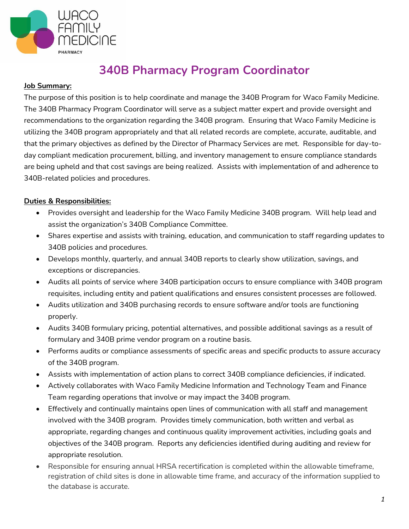

## **340B Pharmacy Program Coordinator**

## **Job Summary:**

The purpose of this position is to help coordinate and manage the 340B Program for Waco Family Medicine. The 340B Pharmacy Program Coordinator will serve as a subject matter expert and provide oversight and recommendations to the organization regarding the 340B program. Ensuring that Waco Family Medicine is utilizing the 340B program appropriately and that all related records are complete, accurate, auditable, and that the primary objectives as defined by the Director of Pharmacy Services are met. Responsible for day-today compliant medication procurement, billing, and inventory management to ensure compliance standards are being upheld and that cost savings are being realized. Assists with implementation of and adherence to 340B-related policies and procedures.

## **Duties & Responsibilities:**

- Provides oversight and leadership for the Waco Family Medicine 340B program. Will help lead and assist the organization's 340B Compliance Committee.
- Shares expertise and assists with training, education, and communication to staff regarding updates to 340B policies and procedures.
- Develops monthly, quarterly, and annual 340B reports to clearly show utilization, savings, and exceptions or discrepancies.
- Audits all points of service where 340B participation occurs to ensure compliance with 340B program requisites, including entity and patient qualifications and ensures consistent processes are followed.
- Audits utilization and 340B purchasing records to ensure software and/or tools are functioning properly.
- Audits 340B formulary pricing, potential alternatives, and possible additional savings as a result of formulary and 340B prime vendor program on a routine basis.
- Performs audits or compliance assessments of specific areas and specific products to assure accuracy of the 340B program.
- Assists with implementation of action plans to correct 340B compliance deficiencies, if indicated.
- Actively collaborates with Waco Family Medicine Information and Technology Team and Finance Team regarding operations that involve or may impact the 340B program.
- Effectively and continually maintains open lines of communication with all staff and management involved with the 340B program. Provides timely communication, both written and verbal as appropriate, regarding changes and continuous quality improvement activities, including goals and objectives of the 340B program. Reports any deficiencies identified during auditing and review for appropriate resolution.
- Responsible for ensuring annual HRSA recertification is completed within the allowable timeframe, registration of child sites is done in allowable time frame, and accuracy of the information supplied to the database is accurate.